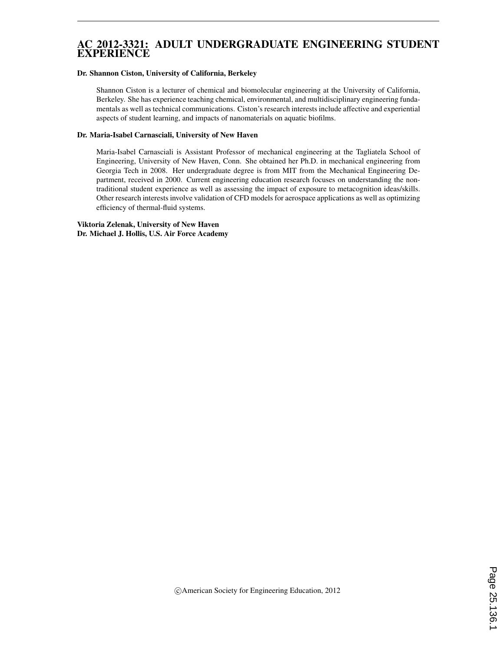## AC 2012-3321: ADULT UNDERGRADUATE ENGINEERING STUDENT EXPERIENCE

#### Dr. Shannon Ciston, University of California, Berkeley

Shannon Ciston is a lecturer of chemical and biomolecular engineering at the University of California, Berkeley. She has experience teaching chemical, environmental, and multidisciplinary engineering fundamentals as well as technical communications. Ciston's research interests include affective and experiential aspects of student learning, and impacts of nanomaterials on aquatic biofilms.

#### Dr. Maria-Isabel Carnasciali, University of New Haven

Maria-Isabel Carnasciali is Assistant Professor of mechanical engineering at the Tagliatela School of Engineering, University of New Haven, Conn. She obtained her Ph.D. in mechanical engineering from Georgia Tech in 2008. Her undergraduate degree is from MIT from the Mechanical Engineering Department, received in 2000. Current engineering education research focuses on understanding the nontraditional student experience as well as assessing the impact of exposure to metacognition ideas/skills. Other research interests involve validation of CFD models for aerospace applications as well as optimizing efficiency of thermal-fluid systems.

Viktoria Zelenak, University of New Haven Dr. Michael J. Hollis, U.S. Air Force Academy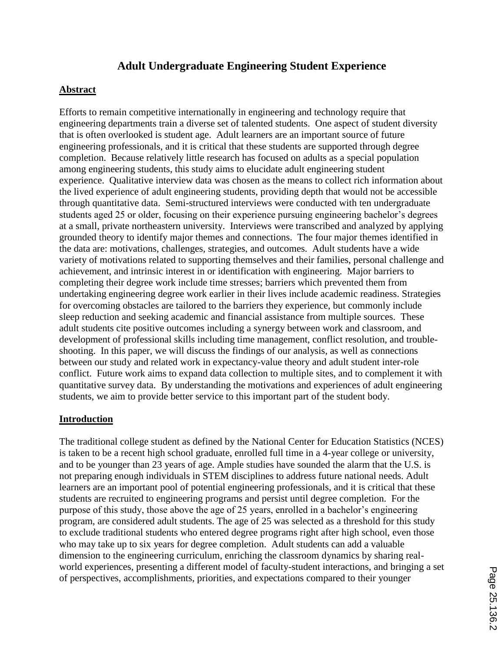# **Adult Undergraduate Engineering Student Experience**

## **Abstract**

Efforts to remain competitive internationally in engineering and technology require that engineering departments train a diverse set of talented students. One aspect of student diversity that is often overlooked is student age. Adult learners are an important source of future engineering professionals, and it is critical that these students are supported through degree completion. Because relatively little research has focused on adults as a special population among engineering students, this study aims to elucidate adult engineering student experience. Qualitative interview data was chosen as the means to collect rich information about the lived experience of adult engineering students, providing depth that would not be accessible through quantitative data. Semi-structured interviews were conducted with ten undergraduate students aged 25 or older, focusing on their experience pursuing engineering bachelor's degrees at a small, private northeastern university. Interviews were transcribed and analyzed by applying grounded theory to identify major themes and connections. The four major themes identified in the data are: motivations, challenges, strategies, and outcomes. Adult students have a wide variety of motivations related to supporting themselves and their families, personal challenge and achievement, and intrinsic interest in or identification with engineering. Major barriers to completing their degree work include time stresses; barriers which prevented them from undertaking engineering degree work earlier in their lives include academic readiness. Strategies for overcoming obstacles are tailored to the barriers they experience, but commonly include sleep reduction and seeking academic and financial assistance from multiple sources. These adult students cite positive outcomes including a synergy between work and classroom, and development of professional skills including time management, conflict resolution, and troubleshooting. In this paper, we will discuss the findings of our analysis, as well as connections between our study and related work in expectancy-value theory and adult student inter-role conflict. Future work aims to expand data collection to multiple sites, and to complement it with quantitative survey data. By understanding the motivations and experiences of adult engineering students, we aim to provide better service to this important part of the student body.

## **Introduction**

The traditional college student as defined by the National Center for Education Statistics (NCES) is taken to be a recent high school graduate, enrolled full time in a 4-year college or university, and to be younger than 23 years of age. Ample studies have sounded the alarm that the U.S. is not preparing enough individuals in STEM disciplines to address future national needs. Adult learners are an important pool of potential engineering professionals, and it is critical that these students are recruited to engineering programs and persist until degree completion. For the purpose of this study, those above the age of 25 years, enrolled in a bachelor's engineering program, are considered adult students. The age of 25 was selected as a threshold for this study to exclude traditional students who entered degree programs right after high school, even those who may take up to six years for degree completion. Adult students can add a valuable dimension to the engineering curriculum, enriching the classroom dynamics by sharing realworld experiences, presenting a different model of faculty-student interactions, and bringing a set of perspectives, accomplishments, priorities, and expectations compared to their younger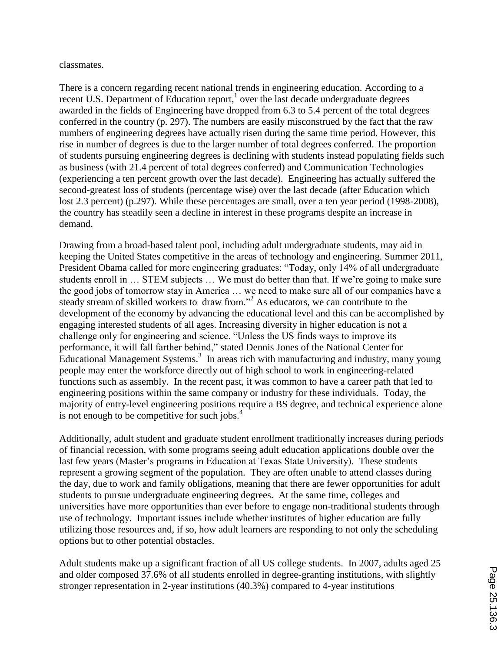classmates.

There is a concern regarding recent national trends in engineering education. According to a recent U.S. Department of Education report, $<sup>1</sup>$  over the last decade undergraduate degrees</sup> awarded in the fields of Engineering have dropped from 6.3 to 5.4 percent of the total degrees conferred in the country (p. 297). The numbers are easily misconstrued by the fact that the raw numbers of engineering degrees have actually risen during the same time period. However, this rise in number of degrees is due to the larger number of total degrees conferred. The proportion of students pursuing engineering degrees is declining with students instead populating fields such as business (with 21.4 percent of total degrees conferred) and Communication Technologies (experiencing a ten percent growth over the last decade). Engineering has actually suffered the second-greatest loss of students (percentage wise) over the last decade (after Education which lost 2.3 percent) (p.297). While these percentages are small, over a ten year period (1998-2008), the country has steadily seen a decline in interest in these programs despite an increase in demand.

Drawing from a broad-based talent pool, including adult undergraduate students, may aid in keeping the United States competitive in the areas of technology and engineering. Summer 2011, President Obama called for more engineering graduates: "Today, only 14% of all undergraduate students enroll in … STEM subjects … We must do better than that. If we're going to make sure the good jobs of tomorrow stay in America … we need to make sure all of our companies have a steady stream of skilled workers to draw from."<sup>2</sup> As educators, we can contribute to the development of the economy by advancing the educational level and this can be accomplished by engaging interested students of all ages. Increasing diversity in higher education is not a challenge only for engineering and science. "Unless the US finds ways to improve its performance, it will fall farther behind," stated Dennis Jones of the National Center for Educational Management Systems.<sup>3</sup> In areas rich with manufacturing and industry, many young people may enter the workforce directly out of high school to work in engineering-related functions such as assembly. In the recent past, it was common to have a career path that led to engineering positions within the same company or industry for these individuals. Today, the majority of entry-level engineering positions require a BS degree, and technical experience alone is not enough to be competitive for such jobs. $4$ 

Additionally, adult student and graduate student enrollment traditionally increases during periods of financial recession, with some programs seeing adult education applications double over the last few years (Master's programs in Education at Texas State University). These students represent a growing segment of the population. They are often unable to attend classes during the day, due to work and family obligations, meaning that there are fewer opportunities for adult students to pursue undergraduate engineering degrees. At the same time, colleges and universities have more opportunities than ever before to engage non-traditional students through use of technology. Important issues include whether institutes of higher education are fully utilizing those resources and, if so, how adult learners are responding to not only the scheduling options but to other potential obstacles.

Adult students make up a significant fraction of all US college students. In 2007, adults aged 25 and older composed 37.6% of all students enrolled in degree-granting institutions, with slightly stronger representation in 2-year institutions (40.3%) compared to 4-year institutions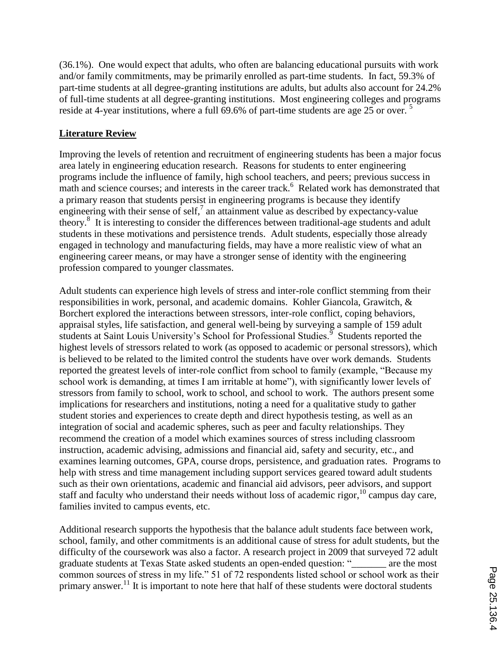(36.1%). One would expect that adults, who often are balancing educational pursuits with work and/or family commitments, may be primarily enrolled as part-time students. In fact, 59.3% of part-time students at all degree-granting institutions are adults, but adults also account for 24.2% of full-time students at all degree-granting institutions. Most engineering colleges and programs reside at 4-year institutions, where a full 69.6% of part-time students are age 25 or over.<sup>5</sup>

## **Literature Review**

Improving the levels of retention and recruitment of engineering students has been a major focus area lately in engineering education research. Reasons for students to enter engineering programs include the influence of family, high school teachers, and peers; previous success in math and science courses; and interests in the career track.<sup>6</sup> Related work has demonstrated that a primary reason that students persist in engineering programs is because they identify engineering with their sense of self,<sup>7</sup> an attainment value as described by expectancy-value theory. 8 It is interesting to consider the differences between traditional-age students and adult students in these motivations and persistence trends. Adult students, especially those already engaged in technology and manufacturing fields, may have a more realistic view of what an engineering career means, or may have a stronger sense of identity with the engineering profession compared to younger classmates.

Adult students can experience high levels of stress and inter-role conflict stemming from their responsibilities in work, personal, and academic domains. Kohler Giancola, Grawitch, & Borchert explored the interactions between stressors, inter-role conflict, coping behaviors, appraisal styles, life satisfaction, and general well-being by surveying a sample of 159 adult students at Saint Louis University's School for Professional Studies.<sup>9</sup> Students reported the highest levels of stressors related to work (as opposed to academic or personal stressors), which is believed to be related to the limited control the students have over work demands. Students reported the greatest levels of inter-role conflict from school to family (example, "Because my school work is demanding, at times I am irritable at home"), with significantly lower levels of stressors from family to school, work to school, and school to work. The authors present some implications for researchers and institutions, noting a need for a qualitative study to gather student stories and experiences to create depth and direct hypothesis testing, as well as an integration of social and academic spheres, such as peer and faculty relationships. They recommend the creation of a model which examines sources of stress including classroom instruction, academic advising, admissions and financial aid, safety and security, etc., and examines learning outcomes, GPA, course drops, persistence, and graduation rates. Programs to help with stress and time management including support services geared toward adult students such as their own orientations, academic and financial aid advisors, peer advisors, and support staff and faculty who understand their needs without loss of academic rigor, <sup>10</sup> campus day care, families invited to campus events, etc.

Additional research supports the hypothesis that the balance adult students face between work, school, family, and other commitments is an additional cause of stress for adult students, but the difficulty of the coursework was also a factor. A research project in 2009 that surveyed 72 adult graduate students at Texas State asked students an open-ended question: "\_\_\_\_\_\_\_ are the most common sources of stress in my life." 51 of 72 respondents listed school or school work as their primary answer.<sup>11</sup> It is important to note here that half of these students were doctoral students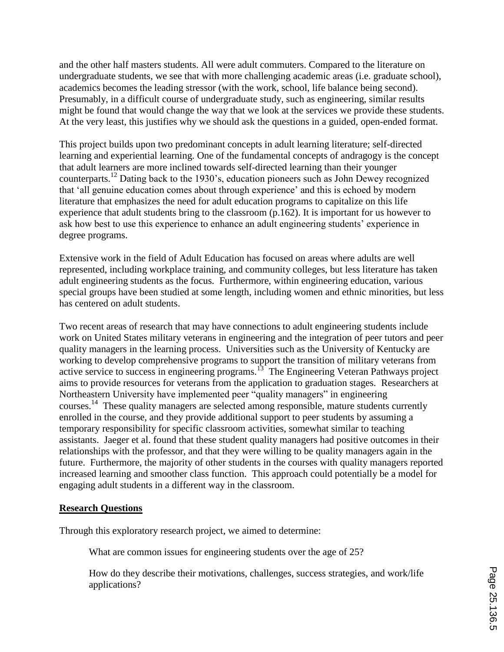and the other half masters students. All were adult commuters. Compared to the literature on undergraduate students, we see that with more challenging academic areas (i.e. graduate school), academics becomes the leading stressor (with the work, school, life balance being second). Presumably, in a difficult course of undergraduate study, such as engineering, similar results might be found that would change the way that we look at the services we provide these students. At the very least, this justifies why we should ask the questions in a guided, open-ended format.

This project builds upon two predominant concepts in adult learning literature; self-directed learning and experiential learning. One of the fundamental concepts of andragogy is the concept that adult learners are more inclined towards self-directed learning than their younger counterparts. <sup>12</sup> Dating back to the 1930's, education pioneers such as John Dewey recognized that 'all genuine education comes about through experience' and this is echoed by modern literature that emphasizes the need for adult education programs to capitalize on this life experience that adult students bring to the classroom (p.162). It is important for us however to ask how best to use this experience to enhance an adult engineering students' experience in degree programs.

Extensive work in the field of Adult Education has focused on areas where adults are well represented, including workplace training, and community colleges, but less literature has taken adult engineering students as the focus. Furthermore, within engineering education, various special groups have been studied at some length, including women and ethnic minorities, but less has centered on adult students.

Two recent areas of research that may have connections to adult engineering students include work on United States military veterans in engineering and the integration of peer tutors and peer quality managers in the learning process. Universities such as the University of Kentucky are working to develop comprehensive programs to support the transition of military veterans from active service to success in engineering programs.<sup>13</sup> The Engineering Veteran Pathways project aims to provide resources for veterans from the application to graduation stages. Researchers at Northeastern University have implemented peer "quality managers" in engineering courses. <sup>14</sup> These quality managers are selected among responsible, mature students currently enrolled in the course, and they provide additional support to peer students by assuming a temporary responsibility for specific classroom activities, somewhat similar to teaching assistants. Jaeger et al. found that these student quality managers had positive outcomes in their relationships with the professor, and that they were willing to be quality managers again in the future. Furthermore, the majority of other students in the courses with quality managers reported increased learning and smoother class function. This approach could potentially be a model for engaging adult students in a different way in the classroom.

#### **Research Questions**

Through this exploratory research project, we aimed to determine:

What are common issues for engineering students over the age of 25?

How do they describe their motivations, challenges, success strategies, and work/life applications?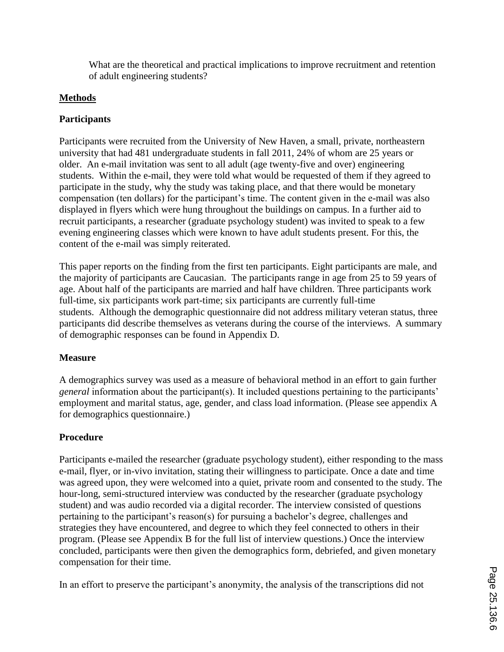What are the theoretical and practical implications to improve recruitment and retention of adult engineering students?

# **Methods**

## **Participants**

Participants were recruited from the University of New Haven, a small, private, northeastern university that had 481 undergraduate students in fall 2011, 24% of whom are 25 years or older. An e-mail invitation was sent to all adult (age twenty-five and over) engineering students. Within the e-mail, they were told what would be requested of them if they agreed to participate in the study, why the study was taking place, and that there would be monetary compensation (ten dollars) for the participant's time. The content given in the e-mail was also displayed in flyers which were hung throughout the buildings on campus. In a further aid to recruit participants, a researcher (graduate psychology student) was invited to speak to a few evening engineering classes which were known to have adult students present. For this, the content of the e-mail was simply reiterated.

This paper reports on the finding from the first ten participants. Eight participants are male, and the majority of participants are Caucasian. The participants range in age from 25 to 59 years of age. About half of the participants are married and half have children. Three participants work full-time, six participants work part-time; six participants are currently full-time students. Although the demographic questionnaire did not address military veteran status, three participants did describe themselves as veterans during the course of the interviews. A summary of demographic responses can be found in Appendix D.

## **Measure**

A demographics survey was used as a measure of behavioral method in an effort to gain further *general* information about the participant(s). It included questions pertaining to the participants' employment and marital status, age, gender, and class load information. (Please see appendix A for demographics questionnaire.)

# **Procedure**

Participants e-mailed the researcher (graduate psychology student), either responding to the mass e-mail, flyer, or in-vivo invitation, stating their willingness to participate. Once a date and time was agreed upon, they were welcomed into a quiet, private room and consented to the study. The hour-long, semi-structured interview was conducted by the researcher (graduate psychology student) and was audio recorded via a digital recorder. The interview consisted of questions pertaining to the participant's reason(s) for pursuing a bachelor's degree, challenges and strategies they have encountered, and degree to which they feel connected to others in their program. (Please see Appendix B for the full list of interview questions.) Once the interview concluded, participants were then given the demographics form, debriefed, and given monetary compensation for their time.

In an effort to preserve the participant's anonymity, the analysis of the transcriptions did not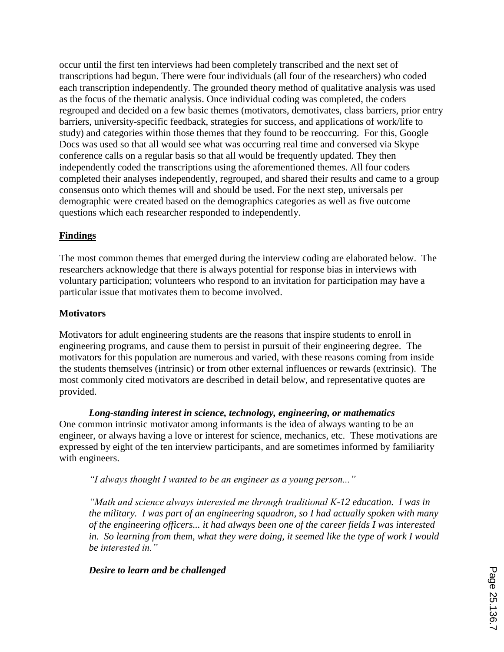occur until the first ten interviews had been completely transcribed and the next set of transcriptions had begun. There were four individuals (all four of the researchers) who coded each transcription independently. The grounded theory method of qualitative analysis was used as the focus of the thematic analysis. Once individual coding was completed, the coders regrouped and decided on a few basic themes (motivators, demotivates, class barriers, prior entry barriers, university-specific feedback, strategies for success, and applications of work/life to study) and categories within those themes that they found to be reoccurring. For this, Google Docs was used so that all would see what was occurring real time and conversed via Skype conference calls on a regular basis so that all would be frequently updated. They then independently coded the transcriptions using the aforementioned themes. All four coders completed their analyses independently, regrouped, and shared their results and came to a group consensus onto which themes will and should be used. For the next step, universals per demographic were created based on the demographics categories as well as five outcome questions which each researcher responded to independently.

## **Findings**

The most common themes that emerged during the interview coding are elaborated below. The researchers acknowledge that there is always potential for response bias in interviews with voluntary participation; volunteers who respond to an invitation for participation may have a particular issue that motivates them to become involved.

## **Motivators**

Motivators for adult engineering students are the reasons that inspire students to enroll in engineering programs, and cause them to persist in pursuit of their engineering degree. The motivators for this population are numerous and varied, with these reasons coming from inside the students themselves (intrinsic) or from other external influences or rewards (extrinsic). The most commonly cited motivators are described in detail below, and representative quotes are provided.

*Long-standing interest in science, technology, engineering, or mathematics* One common intrinsic motivator among informants is the idea of always wanting to be an engineer, or always having a love or interest for science, mechanics, etc. These motivations are expressed by eight of the ten interview participants, and are sometimes informed by familiarity with engineers.

*"I always thought I wanted to be an engineer as a young person..."*

*"Math and science always interested me through traditional K-12 education. I was in the military. I was part of an engineering squadron, so I had actually spoken with many of the engineering officers... it had always been one of the career fields I was interested in. So learning from them, what they were doing, it seemed like the type of work I would be interested in."*

## *Desire to learn and be challenged*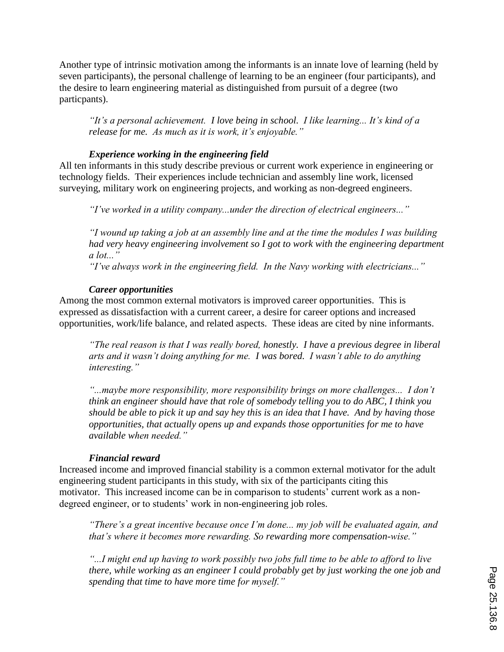Another type of intrinsic motivation among the informants is an innate love of learning (held by seven participants), the personal challenge of learning to be an engineer (four participants), and the desire to learn engineering material as distinguished from pursuit of a degree (two particpants).

*"It's a personal achievement. I love being in school. I like learning... It's kind of a release for me. As much as it is work, it's enjoyable."* 

## *Experience working in the engineering field*

All ten informants in this study describe previous or current work experience in engineering or technology fields. Their experiences include technician and assembly line work, licensed surveying, military work on engineering projects, and working as non-degreed engineers.

*"I've worked in a utility company...under the direction of electrical engineers..."*

*"I wound up taking a job at an assembly line and at the time the modules I was building had very heavy engineering involvement so I got to work with the engineering department a lot..."*

*"I've always work in the engineering field. In the Navy working with electricians..."*

## *Career opportunities*

Among the most common external motivators is improved career opportunities. This is expressed as dissatisfaction with a current career, a desire for career options and increased opportunities, work/life balance, and related aspects. These ideas are cited by nine informants.

*"The real reason is that I was really bored, honestly. I have a previous degree in liberal arts and it wasn't doing anything for me. I was bored. I wasn't able to do anything interesting."*

*"...maybe more responsibility, more responsibility brings on more challenges... I don't think an engineer should have that role of somebody telling you to do ABC, I think you should be able to pick it up and say hey this is an idea that I have. And by having those opportunities, that actually opens up and expands those opportunities for me to have available when needed."*

#### *Financial reward*

Increased income and improved financial stability is a common external motivator for the adult engineering student participants in this study, with six of the participants citing this motivator. This increased income can be in comparison to students' current work as a nondegreed engineer, or to students' work in non-engineering job roles.

*"There's a great incentive because once I'm done... my job will be evaluated again, and that's where it becomes more rewarding. So rewarding more compensation-wise."* 

*"...I might end up having to work possibly two jobs full time to be able to afford to live there, while working as an engineer I could probably get by just working the one job and spending that time to have more time for myself."*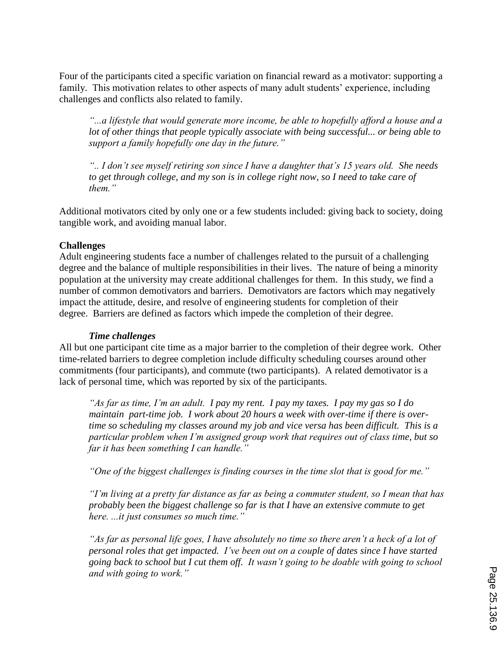Four of the participants cited a specific variation on financial reward as a motivator: supporting a family. This motivation relates to other aspects of many adult students' experience, including challenges and conflicts also related to family.

*"...a lifestyle that would generate more income, be able to hopefully afford a house and a lot of other things that people typically associate with being successful... or being able to support a family hopefully one day in the future."*

*".. I don't see myself retiring son since I have a daughter that's 15 years old. She needs to get through college, and my son is in college right now, so I need to take care of them."*

Additional motivators cited by only one or a few students included: giving back to society, doing tangible work, and avoiding manual labor.

#### **Challenges**

Adult engineering students face a number of challenges related to the pursuit of a challenging degree and the balance of multiple responsibilities in their lives. The nature of being a minority population at the university may create additional challenges for them. In this study, we find a number of common demotivators and barriers. Demotivators are factors which may negatively impact the attitude, desire, and resolve of engineering students for completion of their degree. Barriers are defined as factors which impede the completion of their degree.

#### *Time challenges*

All but one participant cite time as a major barrier to the completion of their degree work. Other time-related barriers to degree completion include difficulty scheduling courses around other commitments (four participants), and commute (two participants). A related demotivator is a lack of personal time, which was reported by six of the participants.

*"As far as time, I'm an adult. I pay my rent. I pay my taxes. I pay my gas so I do maintain part-time job. I work about 20 hours a week with over-time if there is overtime so scheduling my classes around my job and vice versa has been difficult. This is a particular problem when I'm assigned group work that requires out of class time, but so far it has been something I can handle."*

*"One of the biggest challenges is finding courses in the time slot that is good for me."*

*"I'm living at a pretty far distance as far as being a commuter student, so I mean that has probably been the biggest challenge so far is that I have an extensive commute to get here. ...it just consumes so much time."*

*"As far as personal life goes, I have absolutely no time so there aren't a heck of a lot of personal roles that get impacted. I've been out on a couple of dates since I have started going back to school but I cut them off. It wasn't going to be doable with going to school and with going to work."*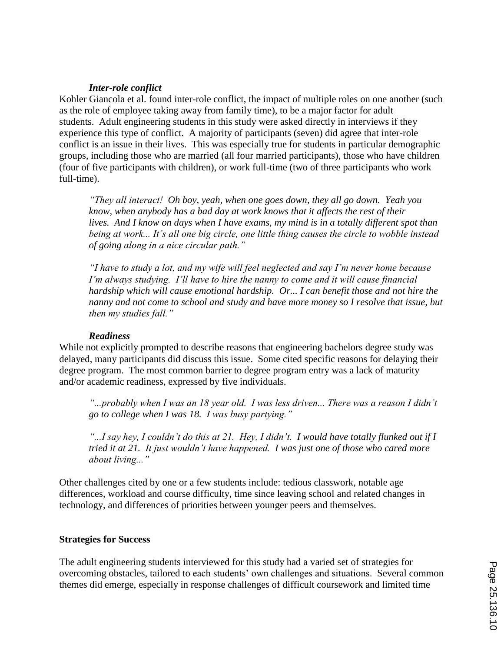#### *Inter-role conflict*

Kohler Giancola et al. found inter-role conflict, the impact of multiple roles on one another (such as the role of employee taking away from family time), to be a major factor for adult students. Adult engineering students in this study were asked directly in interviews if they experience this type of conflict. A majority of participants (seven) did agree that inter-role conflict is an issue in their lives. This was especially true for students in particular demographic groups, including those who are married (all four married participants), those who have children (four of five participants with children), or work full-time (two of three participants who work full-time).

*"They all interact! Oh boy, yeah, when one goes down, they all go down. Yeah you know, when anybody has a bad day at work knows that it affects the rest of their lives. And I know on days when I have exams, my mind is in a totally different spot than being at work... It's all one big circle, one little thing causes the circle to wobble instead of going along in a nice circular path."*

*"I have to study a lot, and my wife will feel neglected and say I'm never home because I'm always studying. I'll have to hire the nanny to come and it will cause financial hardship which will cause emotional hardship. Or... I can benefit those and not hire the nanny and not come to school and study and have more money so I resolve that issue, but then my studies fall."*

#### *Readiness*

While not explicitly prompted to describe reasons that engineering bachelors degree study was delayed, many participants did discuss this issue. Some cited specific reasons for delaying their degree program. The most common barrier to degree program entry was a lack of maturity and/or academic readiness, expressed by five individuals.

"...probably when I was an 18 year old. I was less driven... There was a reason I didn't *go to college when I was 18. I was busy partying."*

*"...I say hey, I couldn't do this at 21. Hey, I didn't. I would have totally flunked out if I tried it at 21. It just wouldn't have happened. I was just one of those who cared more about living..."*

Other challenges cited by one or a few students include: tedious classwork, notable age differences, workload and course difficulty, time since leaving school and related changes in technology, and differences of priorities between younger peers and themselves.

#### **Strategies for Success**

The adult engineering students interviewed for this study had a varied set of strategies for overcoming obstacles, tailored to each students' own challenges and situations. Several common themes did emerge, especially in response challenges of difficult coursework and limited time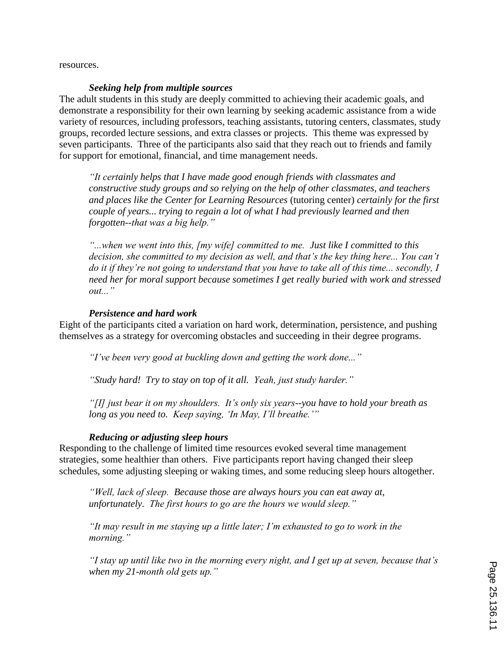resources.

#### *Seeking help from multiple sources*

The adult students in this study are deeply committed to achieving their academic goals, and demonstrate a responsibility for their own learning by seeking academic assistance from a wide variety of resources, including professors, teaching assistants, tutoring centers, classmates, study groups, recorded lecture sessions, and extra classes or projects. This theme was expressed by seven participants. Three of the participants also said that they reach out to friends and family for support for emotional, financial, and time management needs.

*"It certainly helps that I have made good enough friends with classmates and constructive study groups and so relying on the help of other classmates, and teachers and places like the Center for Learning Resources* (tutoring center) *certainly for the first couple of years... trying to regain a lot of what I had previously learned and then forgotten--that was a big help."*

*"...when we went into this, [my wife] committed to me. Just like I committed to this decision, she committed to my decision as well, and that's the key thing here... You can't do it if they're not going to understand that you have to take all of this time... secondly, I need her for moral support because sometimes I get really buried with work and stressed out..."*

#### *Persistence and hard work*

Eight of the participants cited a variation on hard work, determination, persistence, and pushing themselves as a strategy for overcoming obstacles and succeeding in their degree programs.

*"I've been very good at buckling down and getting the work done..."*

*"Study hard! Try to stay on top of it all. Yeah, just study harder."*

*"[I] just bear it on my shoulders. It's only six years--you have to hold your breath as long as you need to. Keep saying, 'In May, I'll breathe.'"*

#### *Reducing or adjusting sleep hours*

Responding to the challenge of limited time resources evoked several time management strategies, some healthier than others. Five participants report having changed their sleep schedules, some adjusting sleeping or waking times, and some reducing sleep hours altogether.

*"Well, lack of sleep. Because those are always hours you can eat away at, unfortunately. The first hours to go are the hours we would sleep."*

*"It may result in me staying up a little later; I'm exhausted to go to work in the morning."*

*"I stay up until like two in the morning every night, and I get up at seven, because that's when my 21-month old gets up."*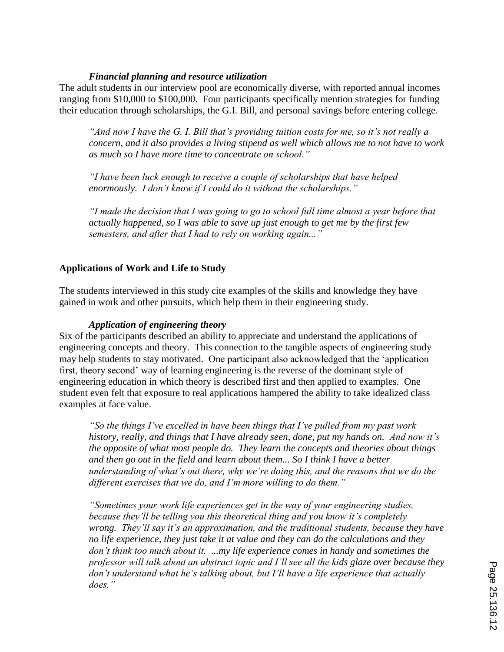## *Financial planning and resource utilization*

The adult students in our interview pool are economically diverse, with reported annual incomes ranging from \$10,000 to \$100,000. Four participants specifically mention strategies for funding their education through scholarships, the G.I. Bill, and personal savings before entering college.

*"And now I have the G. I. Bill that's providing tuition costs for me, so it's not really a concern, and it also provides a living stipend as well which allows me to not have to work as much so I have more time to concentrate on school."*

*"I have been luck enough to receive a couple of scholarships that have helped enormously. I don't know if I could do it without the scholarships."*

*"I made the decision that I was going to go to school full time almost a year before that actually happened, so I was able to save up just enough to get me by the first few semesters, and after that I had to rely on working again..."*

## **Applications of Work and Life to Study**

The students interviewed in this study cite examples of the skills and knowledge they have gained in work and other pursuits, which help them in their engineering study.

## *Application of engineering theory*

Six of the participants described an ability to appreciate and understand the applications of engineering concepts and theory. This connection to the tangible aspects of engineering study may help students to stay motivated. One participant also acknowledged that the 'application first, theory second' way of learning engineering is the reverse of the dominant style of engineering education in which theory is described first and then applied to examples. One student even felt that exposure to real applications hampered the ability to take idealized class examples at face value.

*"So the things I've excelled in have been things that I've pulled from my past work history, really, and things that I have already seen, done, put my hands on. And now it's the opposite of what most people do. They learn the concepts and theories about things and then go out in the field and learn about them... So I think I have a better understanding of what's out there, why we're doing this, and the reasons that we do the different exercises that we do, and I'm more willing to do them."*

*"Sometimes your work life experiences get in the way of your engineering studies, because they'll be telling you this theoretical thing and you know it's completely wrong. They'll say it's an approximation, and the traditional students, because they have no life experience, they just take it at value and they can do the calculations and they don't think too much about it. ...my life experience comes in handy and sometimes the professor will talk about an abstract topic and I'll see all the kids glaze over because they don't understand what he's talking about, but I'll have a life experience that actually does."*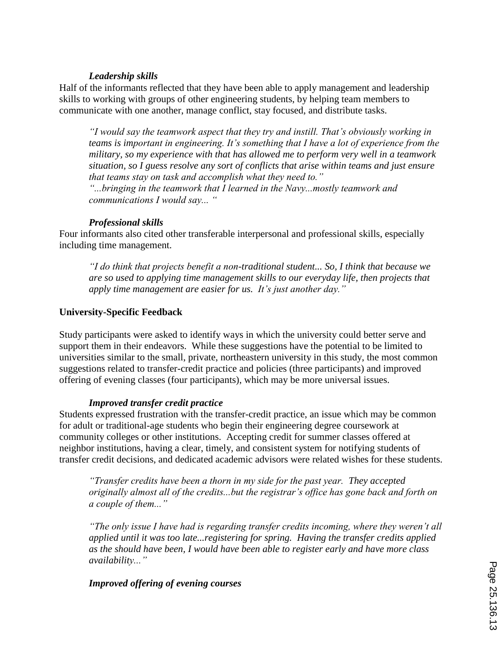## *Leadership skills*

Half of the informants reflected that they have been able to apply management and leadership skills to working with groups of other engineering students, by helping team members to communicate with one another, manage conflict, stay focused, and distribute tasks.

*"I would say the teamwork aspect that they try and instill. That's obviously working in teams is important in engineering. It's something that I have a lot of experience from the military, so my experience with that has allowed me to perform very well in a teamwork situation, so I guess resolve any sort of conflicts that arise within teams and just ensure that teams stay on task and accomplish what they need to."*

*"...bringing in the teamwork that I learned in the Navy...mostly teamwork and communications I would say... "*

## *Professional skills*

Four informants also cited other transferable interpersonal and professional skills, especially including time management.

*"I do think that projects benefit a non-traditional student... So, I think that because we are so used to applying time management skills to our everyday life, then projects that apply time management are easier for us. It's just another day."*

## **University-Specific Feedback**

Study participants were asked to identify ways in which the university could better serve and support them in their endeavors. While these suggestions have the potential to be limited to universities similar to the small, private, northeastern university in this study, the most common suggestions related to transfer-credit practice and policies (three participants) and improved offering of evening classes (four participants), which may be more universal issues.

## *Improved transfer credit practice*

Students expressed frustration with the transfer-credit practice, an issue which may be common for adult or traditional-age students who begin their engineering degree coursework at community colleges or other institutions. Accepting credit for summer classes offered at neighbor institutions, having a clear, timely, and consistent system for notifying students of transfer credit decisions, and dedicated academic advisors were related wishes for these students.

*"Transfer credits have been a thorn in my side for the past year. They accepted originally almost all of the credits...but the registrar's office has gone back and forth on a couple of them..."* 

*"The only issue I have had is regarding transfer credits incoming, where they weren't all applied until it was too late...registering for spring. Having the transfer credits applied as the should have been, I would have been able to register early and have more class availability..."*

## *Improved offering of evening courses*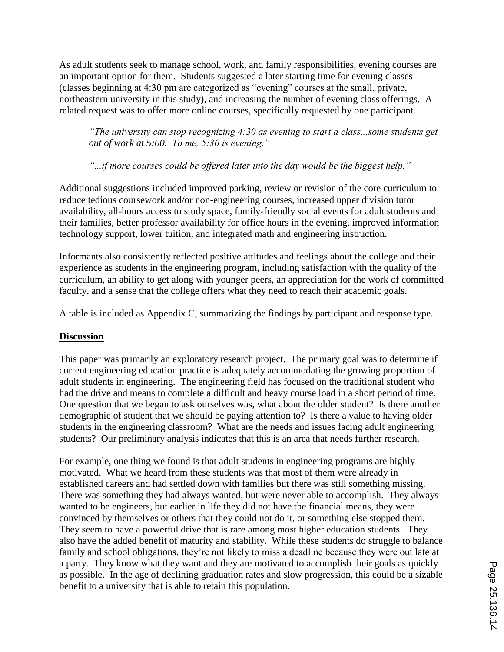As adult students seek to manage school, work, and family responsibilities, evening courses are an important option for them. Students suggested a later starting time for evening classes (classes beginning at 4:30 pm are categorized as "evening" courses at the small, private, northeastern university in this study), and increasing the number of evening class offerings. A related request was to offer more online courses, specifically requested by one participant.

*"The university can stop recognizing 4:30 as evening to start a class...some students get out of work at 5:00. To me, 5:30 is evening."*

*"...if more courses could be offered later into the day would be the biggest help."*

Additional suggestions included improved parking, review or revision of the core curriculum to reduce tedious coursework and/or non-engineering courses, increased upper division tutor availability, all-hours access to study space, family-friendly social events for adult students and their families, better professor availability for office hours in the evening, improved information technology support, lower tuition, and integrated math and engineering instruction.

Informants also consistently reflected positive attitudes and feelings about the college and their experience as students in the engineering program, including satisfaction with the quality of the curriculum, an ability to get along with younger peers, an appreciation for the work of committed faculty, and a sense that the college offers what they need to reach their academic goals.

A table is included as Appendix C, summarizing the findings by participant and response type.

## **Discussion**

This paper was primarily an exploratory research project. The primary goal was to determine if current engineering education practice is adequately accommodating the growing proportion of adult students in engineering. The engineering field has focused on the traditional student who had the drive and means to complete a difficult and heavy course load in a short period of time. One question that we began to ask ourselves was, what about the older student? Is there another demographic of student that we should be paying attention to? Is there a value to having older students in the engineering classroom? What are the needs and issues facing adult engineering students? Our preliminary analysis indicates that this is an area that needs further research.

For example, one thing we found is that adult students in engineering programs are highly motivated. What we heard from these students was that most of them were already in established careers and had settled down with families but there was still something missing. There was something they had always wanted, but were never able to accomplish. They always wanted to be engineers, but earlier in life they did not have the financial means, they were convinced by themselves or others that they could not do it, or something else stopped them. They seem to have a powerful drive that is rare among most higher education students. They also have the added benefit of maturity and stability. While these students do struggle to balance family and school obligations, they're not likely to miss a deadline because they were out late at a party. They know what they want and they are motivated to accomplish their goals as quickly as possible. In the age of declining graduation rates and slow progression, this could be a sizable benefit to a university that is able to retain this population.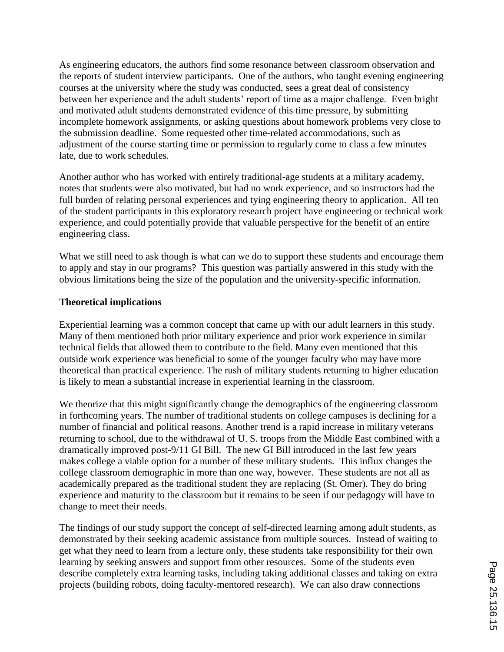As engineering educators, the authors find some resonance between classroom observation and the reports of student interview participants. One of the authors, who taught evening engineering courses at the university where the study was conducted, sees a great deal of consistency between her experience and the adult students' report of time as a major challenge. Even bright and motivated adult students demonstrated evidence of this time pressure, by submitting incomplete homework assignments, or asking questions about homework problems very close to the submission deadline. Some requested other time-related accommodations, such as adjustment of the course starting time or permission to regularly come to class a few minutes late, due to work schedules.

Another author who has worked with entirely traditional-age students at a military academy, notes that students were also motivated, but had no work experience, and so instructors had the full burden of relating personal experiences and tying engineering theory to application. All ten of the student participants in this exploratory research project have engineering or technical work experience, and could potentially provide that valuable perspective for the benefit of an entire engineering class.

What we still need to ask though is what can we do to support these students and encourage them to apply and stay in our programs? This question was partially answered in this study with the obvious limitations being the size of the population and the university-specific information.

#### **Theoretical implications**

Experiential learning was a common concept that came up with our adult learners in this study. Many of them mentioned both prior military experience and prior work experience in similar technical fields that allowed them to contribute to the field. Many even mentioned that this outside work experience was beneficial to some of the younger faculty who may have more theoretical than practical experience. The rush of military students returning to higher education is likely to mean a substantial increase in experiential learning in the classroom.

We theorize that this might significantly change the demographics of the engineering classroom in forthcoming years. The number of traditional students on college campuses is declining for a number of financial and political reasons. Another trend is a rapid increase in military veterans returning to school, due to the withdrawal of U. S. troops from the Middle East combined with a dramatically improved post-9/11 GI Bill. The new GI Bill introduced in the last few years makes college a viable option for a number of these military students. This influx changes the college classroom demographic in more than one way, however. These students are not all as academically prepared as the traditional student they are replacing (St. Omer). They do bring experience and maturity to the classroom but it remains to be seen if our pedagogy will have to change to meet their needs.

The findings of our study support the concept of self-directed learning among adult students, as demonstrated by their seeking academic assistance from multiple sources. Instead of waiting to get what they need to learn from a lecture only, these students take responsibility for their own learning by seeking answers and support from other resources. Some of the students even describe completely extra learning tasks, including taking additional classes and taking on extra projects (building robots, doing faculty-mentored research). We can also draw connections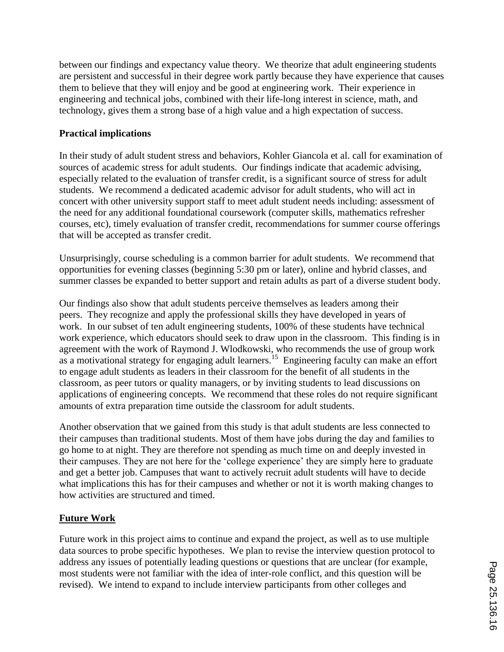between our findings and expectancy value theory. We theorize that adult engineering students are persistent and successful in their degree work partly because they have experience that causes them to believe that they will enjoy and be good at engineering work. Their experience in engineering and technical jobs, combined with their life-long interest in science, math, and technology, gives them a strong base of a high value and a high expectation of success.

## **Practical implications**

In their study of adult student stress and behaviors, Kohler Giancola et al. call for examination of sources of academic stress for adult students. Our findings indicate that academic advising, especially related to the evaluation of transfer credit, is a significant source of stress for adult students. We recommend a dedicated academic advisor for adult students, who will act in concert with other university support staff to meet adult student needs including: assessment of the need for any additional foundational coursework (computer skills, mathematics refresher courses, etc), timely evaluation of transfer credit, recommendations for summer course offerings that will be accepted as transfer credit.

Unsurprisingly, course scheduling is a common barrier for adult students. We recommend that opportunities for evening classes (beginning 5:30 pm or later), online and hybrid classes, and summer classes be expanded to better support and retain adults as part of a diverse student body.

Our findings also show that adult students perceive themselves as leaders among their peers. They recognize and apply the professional skills they have developed in years of work. In our subset of ten adult engineering students, 100% of these students have technical work experience, which educators should seek to draw upon in the classroom. This finding is in agreement with the work of Raymond J. Wlodkowski, who recommends the use of group work as a motivational strategy for engaging adult learners.<sup>15</sup> Engineering faculty can make an effort to engage adult students as leaders in their classroom for the benefit of all students in the classroom, as peer tutors or quality managers, or by inviting students to lead discussions on applications of engineering concepts. We recommend that these roles do not require significant amounts of extra preparation time outside the classroom for adult students.

Another observation that we gained from this study is that adult students are less connected to their campuses than traditional students. Most of them have jobs during the day and families to go home to at night. They are therefore not spending as much time on and deeply invested in their campuses. They are not here for the 'college experience' they are simply here to graduate and get a better job. Campuses that want to actively recruit adult students will have to decide what implications this has for their campuses and whether or not it is worth making changes to how activities are structured and timed.

# **Future Work**

Future work in this project aims to continue and expand the project, as well as to use multiple data sources to probe specific hypotheses. We plan to revise the interview question protocol to address any issues of potentially leading questions or questions that are unclear (for example, most students were not familiar with the idea of inter-role conflict, and this question will be revised). We intend to expand to include interview participants from other colleges and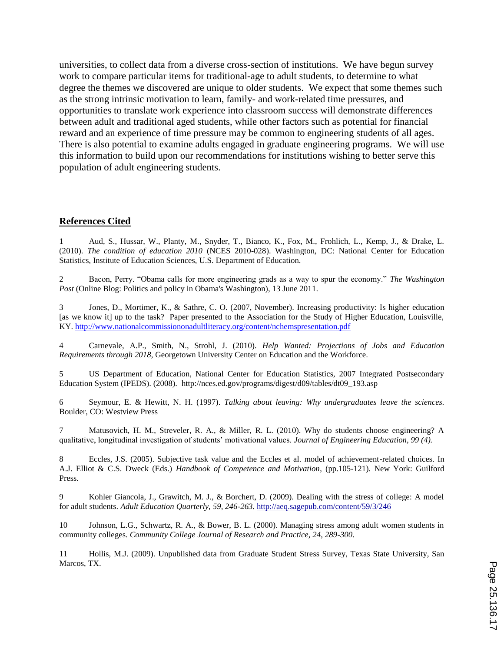universities, to collect data from a diverse cross-section of institutions. We have begun survey work to compare particular items for traditional-age to adult students, to determine to what degree the themes we discovered are unique to older students. We expect that some themes such as the strong intrinsic motivation to learn, family- and work-related time pressures, and opportunities to translate work experience into classroom success will demonstrate differences between adult and traditional aged students, while other factors such as potential for financial reward and an experience of time pressure may be common to engineering students of all ages. There is also potential to examine adults engaged in graduate engineering programs. We will use this information to build upon our recommendations for institutions wishing to better serve this population of adult engineering students.

#### **References Cited**

1 Aud, S., Hussar, W., Planty, M., Snyder, T., Bianco, K., Fox, M., Frohlich, L., Kemp, J., & Drake, L. (2010). *The condition of education 2010* (NCES 2010-028). Washington, DC: National Center for Education Statistics, Institute of Education Sciences, U.S. Department of Education.

2 Bacon, Perry. "Obama calls for more engineering grads as a way to spur the economy." *The Washington Post* (Online Blog: Politics and policy in Obama's Washington), 13 June 2011.

Jones, D., Mortimer, K., & Sathre, C. O. (2007, November). Increasing productivity: Is higher education [as we know it] up to the task? Paper presented to the Association for the Study of Higher Education, Louisville, KY. http://www.nationalcommissiononadultliteracy.org/content/nchemspresentation.pdf

4 Carnevale, A.P., Smith, N., Strohl, J. (2010). *Help Wanted: Projections of Jobs and Education Requirements through 2018*, Georgetown University Center on Education and the Workforce.

5 US Department of Education, National Center for Education Statistics, 2007 Integrated Postsecondary Education System (IPEDS). (2008). http://nces.ed.gov/programs/digest/d09/tables/dt09\_193.asp

6 Seymour, E. & Hewitt, N. H. (1997). *Talking about leaving: Why undergraduates leave the sciences.* Boulder, CO: Westview Press

7 Matusovich, H. M., Streveler, R. A., & Miller, R. L. (2010). Why do students choose engineering? A qualitative, longitudinal investigation of students' motivational values. *Journal of Engineering Education, 99 (4).*

8 Eccles, J.S. (2005). Subjective task value and the Eccles et al. model of achievement-related choices. In A.J. Elliot & C.S. Dweck (Eds.) *Handbook of Competence and Motivation*, (pp.105-121). New York: Guilford Press.

9 Kohler Giancola, J., Grawitch, M. J., & Borchert, D. (2009). Dealing with the stress of college: A model for adult students. *Adult Education Quarterly, 59, 246-263.* http://aeq.sagepub.com/content/59/3/246

10 Johnson, L.G., Schwartz, R. A., & Bower, B. L. (2000). Managing stress among adult women students in community colleges. *Community College Journal of Research and Practice, 24, 289-300*.

11 Hollis, M.J. (2009). Unpublished data from Graduate Student Stress Survey, Texas State University, San Marcos, TX.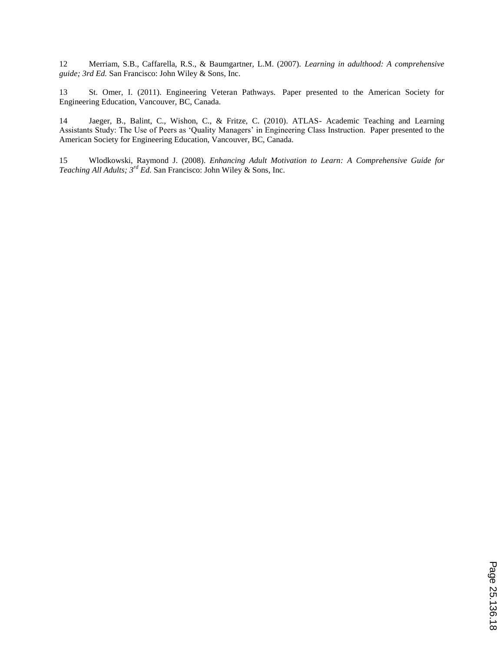12 Merriam, S.B., Caffarella, R.S., & Baumgartner, L.M. (2007). *Learning in adulthood: A comprehensive guide; 3rd Ed.* San Francisco: John Wiley & Sons, Inc.

13 St. Omer, I. (2011). Engineering Veteran Pathways. Paper presented to the American Society for Engineering Education, Vancouver, BC, Canada.

14 Jaeger, B., Balint, C., Wishon, C., & Fritze, C. (2010). ATLAS- Academic Teaching and Learning Assistants Study: The Use of Peers as 'Quality Managers' in Engineering Class Instruction. Paper presented to the American Society for Engineering Education, Vancouver, BC, Canada.

15 Wlodkowski, Raymond J. (2008). *Enhancing Adult Motivation to Learn: A Comprehensive Guide for Teaching All Adults; 3 rd Ed.* San Francisco: John Wiley & Sons, Inc.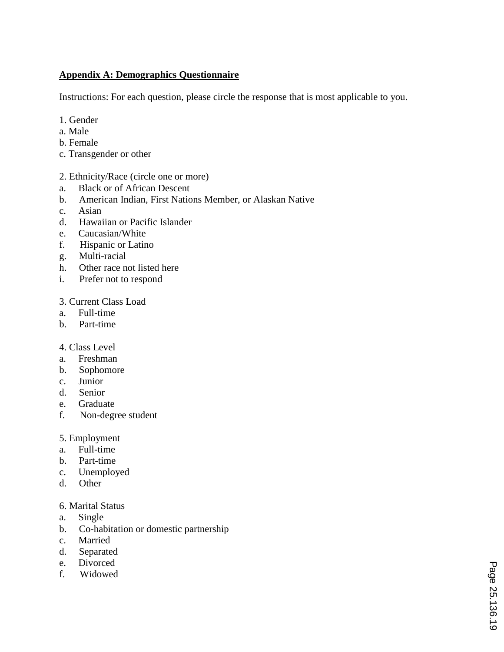## **Appendix A: Demographics Questionnaire**

Instructions: For each question, please circle the response that is most applicable to you.

- 1. Gender
- a. Male
- b. Female
- c. Transgender or other

## 2. Ethnicity/Race (circle one or more)

- a. Black or of African Descent
- b. American Indian, First Nations Member, or Alaskan Native
- c. Asian
- d. Hawaiian or Pacific Islander
- e. Caucasian/White
- f. Hispanic or Latino
- g. Multi-racial
- h. Other race not listed here
- i. Prefer not to respond

## 3. Current Class Load

- a. Full-time
- b. Part-time

#### 4. Class Level

- a. Freshman
- b. Sophomore
- c. Junior
- d. Senior
- e. Graduate
- f. Non-degree student

## 5. Employment

- a. Full-time
- b. Part-time
- c. Unemployed
- d. Other

#### 6. Marital Status

- a. Single
- b. Co-habitation or domestic partnership
- c. Married
- d. Separated
- e. Divorced
- f. Widowed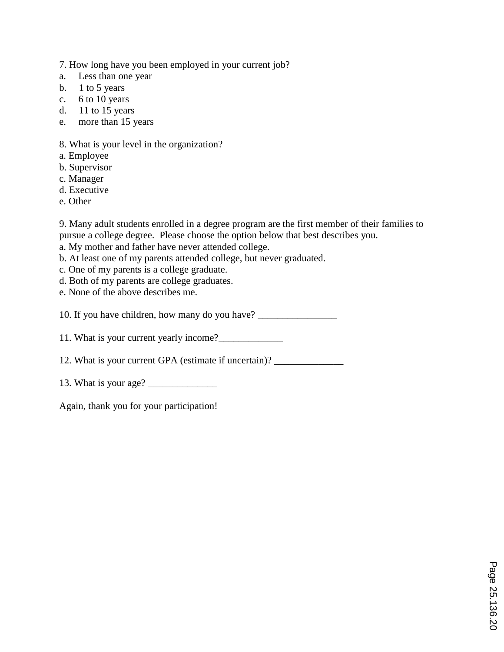7. How long have you been employed in your current job?

- a. Less than one year
- b.  $1$  to 5 years
- c. 6 to 10 years
- d. 11 to 15 years
- e. more than 15 years

# 8. What is your level in the organization?

- a. Employee
- b. Supervisor
- c. Manager
- d. Executive
- e. Other

9. Many adult students enrolled in a degree program are the first member of their families to pursue a college degree. Please choose the option below that best describes you.

- a. My mother and father have never attended college.
- b. At least one of my parents attended college, but never graduated.
- c. One of my parents is a college graduate.
- d. Both of my parents are college graduates.
- e. None of the above describes me.

10. If you have children, how many do you have? \_\_\_\_\_\_\_\_\_\_\_\_\_\_\_\_\_\_\_\_\_\_\_\_\_\_\_\_\_\_\_\_\_

11. What is your current yearly income?\_\_\_\_\_\_\_\_\_\_\_\_\_

12. What is your current GPA (estimate if uncertain)? \_\_\_\_\_\_\_\_\_\_\_\_\_\_\_\_\_\_\_\_\_\_\_\_\_\_

13. What is your age? \_\_\_\_\_\_\_\_\_\_\_\_\_\_

Again, thank you for your participation!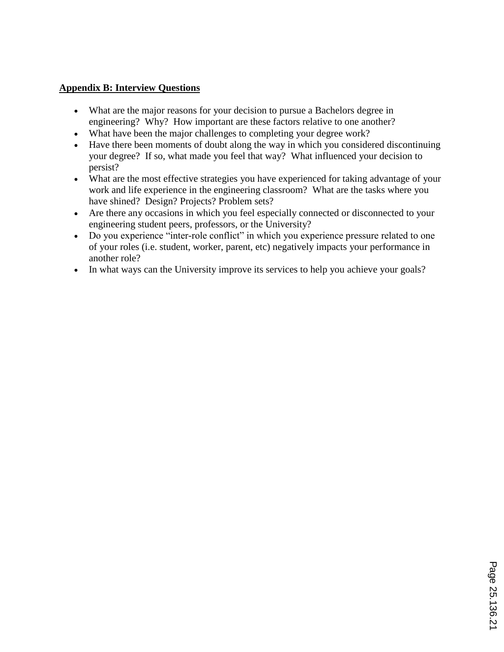## **Appendix B: Interview Questions**

- What are the major reasons for your decision to pursue a Bachelors degree in engineering? Why? How important are these factors relative to one another?
- What have been the major challenges to completing your degree work?
- Have there been moments of doubt along the way in which you considered discontinuing your degree? If so, what made you feel that way? What influenced your decision to persist?
- What are the most effective strategies you have experienced for taking advantage of your work and life experience in the engineering classroom? What are the tasks where you have shined? Design? Projects? Problem sets?
- Are there any occasions in which you feel especially connected or disconnected to your engineering student peers, professors, or the University?
- Do you experience "inter-role conflict" in which you experience pressure related to one of your roles (i.e. student, worker, parent, etc) negatively impacts your performance in another role?
- In what ways can the University improve its services to help you achieve your goals?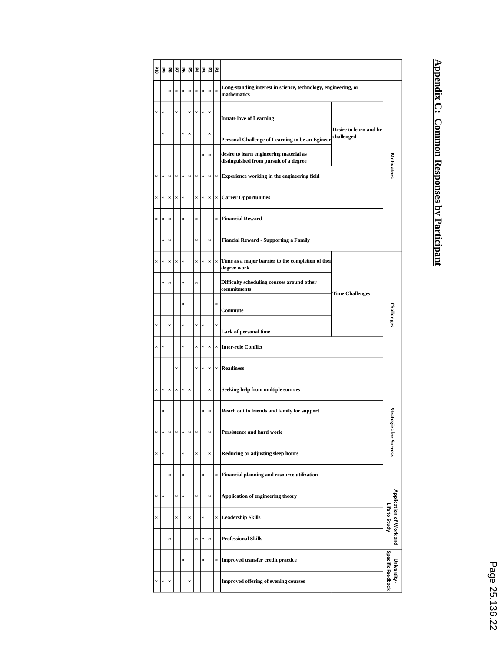| OT <sub>d</sub> | 59                    | P8                    | $\overline{z}$ | 꾋              |          | Ρ4       | P3             | 러              | P4             |                                                                                   |                                      |                                          |  |  |
|-----------------|-----------------------|-----------------------|----------------|----------------|----------|----------|----------------|----------------|----------------|-----------------------------------------------------------------------------------|--------------------------------------|------------------------------------------|--|--|
|                 |                       | ×                     | ×              | ×              | $\times$ | ×        | $\times$       | ×              | $\times$       | Long-standing interest in science, technology, engineering, or<br>mathematics     |                                      |                                          |  |  |
| ×               | $\times$              |                       | ×              |                | ×        | ×        | ×              | ×              |                | <b>Innate love of Learning</b>                                                    | Desire to learn and be<br>challenged |                                          |  |  |
|                 | $\times$              |                       |                | ×              | $\times$ |          |                | ×              |                | Personal Challenge of Learning to be an Egineer                                   |                                      |                                          |  |  |
|                 |                       |                       |                |                |          |          | $\times$       | $\times$       |                | desire to learn engineering material as<br>distinguished from pursuit of a degree |                                      | <b>Motivators</b>                        |  |  |
| ×               | $\boldsymbol{\times}$ | $\times$              | $\times$       | ×              | $\times$ | ×        | $\times$       | ×              | $\times$       | Experience working in the engineering field                                       |                                      |                                          |  |  |
| $\pmb{\times}$  | $\pmb{\times}$        | $\pmb{\times}$        | $\pmb{\times}$ | $\!\times\!$   |          | ×        | $\!\times\!$   | $\pmb{\times}$ | $\pmb{\times}$ | <b>Career Opportunities</b>                                                       |                                      |                                          |  |  |
| ×               | $\boldsymbol{\times}$ | ×                     |                | ×              |          | ×        |                |                | $\times$       | <b>Financial Reward</b>                                                           |                                      |                                          |  |  |
|                 | $\times$              | ×                     |                |                |          | ×        |                | ×              |                | <b>Fiancial Reward - Supporting a Family</b>                                      |                                      |                                          |  |  |
| ×               | $\pmb{\times}$        | $\pmb{\times}$        | $\times$       | $\times$       |          | ×        | $\!\times\!$   | $\times$       | $\!\times\!$   | Time as a major barrier to the completion of their<br>degree work                 | <b>Time Challenges</b>               |                                          |  |  |
|                 | $\times$              | $\times$              |                | $\times$       |          | ×        |                |                |                | Difficulty scheduling courses around other<br>commitments                         |                                      |                                          |  |  |
|                 |                       |                       |                | ×              |          |          |                |                | ×              | Commute                                                                           |                                      | Challenges                               |  |  |
| $\times$        |                       | ×                     |                | ×              |          | ×        | $\times$       |                | $\times$       | Lack of personal time                                                             |                                      |                                          |  |  |
| $\times$        | $\pmb{\times}$        |                       |                | ×              |          | ×        | $\pmb{\times}$ | $\times$       | $\pmb{\times}$ | <b>Inter-role Conflict</b>                                                        |                                      |                                          |  |  |
|                 |                       |                       | ×              |                |          | ×        | $\pmb{\times}$ | $\pmb{\times}$ | $\pmb{\times}$ | <b>Readiness</b>                                                                  |                                      |                                          |  |  |
| ×               | $\pmb{\times}$        | $\pmb{\times}$        | $\pmb{\times}$ | $\pmb{\times}$ | $\times$ |          |                | ×              |                | Seeking help from multiple sources                                                |                                      |                                          |  |  |
|                 | $\times$              |                       |                |                |          |          | ×              | ×              |                | Reach out to friends and family for support                                       |                                      |                                          |  |  |
| ×               | ×                     | $\boldsymbol{\times}$ | $\pmb{\times}$ | $\times$       | ×        | $\times$ |                | $\times$       |                | Persistence and hard work                                                         |                                      | Strategies for Success                   |  |  |
| ×               | $\times$              |                       |                | ×              |          |          |                | ×              |                | Reducing or adjusting sleep hours                                                 |                                      |                                          |  |  |
|                 |                       | ×                     |                | ×              |          |          | ×              |                | ×              | Financial planning and resource utilization                                       |                                      |                                          |  |  |
| ×               | $\times$              |                       | $\times$       | ×              |          | ×        |                | ×              |                | Application of engineering theory                                                 |                                      |                                          |  |  |
| ×               |                       |                       | ×              |                | ×        |          | ×              |                | $\times$       | <b>Leadership Skills</b>                                                          |                                      | Application of Work and<br>Life to Study |  |  |
|                 |                       | ×                     |                |                |          | ×        | $\times$       | $\times$       |                | <b>Professional Skills</b>                                                        |                                      |                                          |  |  |
|                 |                       |                       |                | ×              |          |          | $\times$       |                | ×              | <b>Improved transfer credit practice</b>                                          |                                      | Specific Feedback<br>University-         |  |  |
| ×               | $\boldsymbol{\times}$ | $\pmb{\times}$        |                |                | ×        |          |                |                |                | <b>Improved offering of evening courses</b>                                       |                                      |                                          |  |  |

# **Appendix C: Common Responses by Participant**